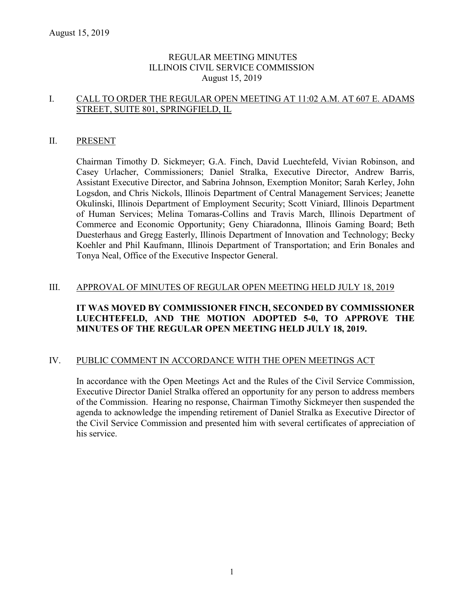### REGULAR MEETING MINUTES ILLINOIS CIVIL SERVICE COMMISSION August 15, 2019

#### I. CALL TO ORDER THE REGULAR OPEN MEETING AT 11:02 A.M. AT 607 E. ADAMS STREET, SUITE 801, SPRINGFIELD, IL

#### II. PRESENT

Chairman Timothy D. Sickmeyer; G.A. Finch, David Luechtefeld, Vivian Robinson, and Casey Urlacher, Commissioners; Daniel Stralka, Executive Director, Andrew Barris, Assistant Executive Director, and Sabrina Johnson, Exemption Monitor; Sarah Kerley, John Logsdon, and Chris Nickols, Illinois Department of Central Management Services; Jeanette Okulinski, Illinois Department of Employment Security; Scott Viniard, Illinois Department of Human Services; Melina Tomaras-Collins and Travis March, Illinois Department of Commerce and Economic Opportunity; Geny Chiaradonna, Illinois Gaming Board; Beth Duesterhaus and Gregg Easterly, Illinois Department of Innovation and Technology; Becky Koehler and Phil Kaufmann, Illinois Department of Transportation; and Erin Bonales and Tonya Neal, Office of the Executive Inspector General.

#### III. APPROVAL OF MINUTES OF REGULAR OPEN MEETING HELD JULY 18, 2019

### **IT WAS MOVED BY COMMISSIONER FINCH, SECONDED BY COMMISSIONER LUECHTEFELD, AND THE MOTION ADOPTED 5-0, TO APPROVE THE MINUTES OF THE REGULAR OPEN MEETING HELD JULY 18, 2019.**

#### IV. PUBLIC COMMENT IN ACCORDANCE WITH THE OPEN MEETINGS ACT

In accordance with the Open Meetings Act and the Rules of the Civil Service Commission, Executive Director Daniel Stralka offered an opportunity for any person to address members of the Commission. Hearing no response, Chairman Timothy Sickmeyer then suspended the agenda to acknowledge the impending retirement of Daniel Stralka as Executive Director of the Civil Service Commission and presented him with several certificates of appreciation of his service.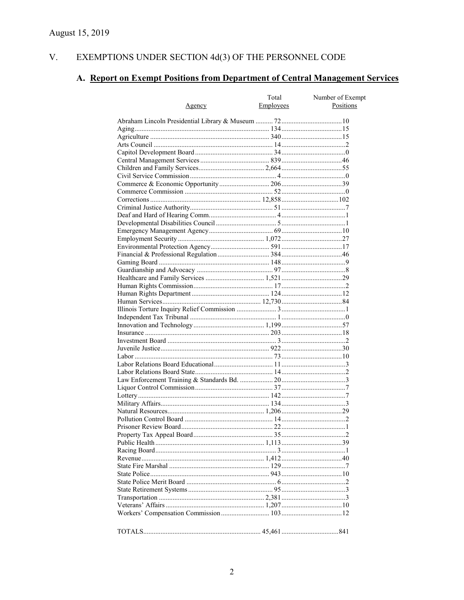#### V. EXEMPTIONS UNDER SECTION  $4d(3)$  OF THE PERSONNEL CODE

# A. Report on Exempt Positions from Department of Central Management Services

| Agency | Total<br>Employees | Number of Exempt<br>Positions |
|--------|--------------------|-------------------------------|
|        |                    |                               |
|        |                    |                               |
|        |                    |                               |
|        |                    |                               |
|        |                    |                               |
|        |                    |                               |
|        |                    |                               |
|        |                    |                               |
|        |                    |                               |
|        |                    |                               |
|        |                    |                               |
|        |                    |                               |
|        |                    |                               |
|        |                    |                               |
|        |                    |                               |
|        |                    |                               |
|        |                    |                               |
|        |                    |                               |
|        |                    |                               |
|        |                    |                               |
|        |                    |                               |
|        |                    |                               |
|        |                    |                               |
|        |                    |                               |
|        |                    |                               |
|        |                    |                               |
|        |                    |                               |
|        |                    |                               |
|        |                    |                               |
|        |                    |                               |
|        |                    |                               |
|        |                    |                               |
|        |                    |                               |
|        |                    |                               |
|        |                    |                               |
|        |                    |                               |
|        |                    |                               |
|        |                    |                               |
|        |                    |                               |
|        |                    |                               |
|        |                    |                               |
|        |                    |                               |
|        |                    |                               |
|        |                    |                               |
|        |                    |                               |
|        |                    |                               |
|        |                    |                               |
|        |                    |                               |
|        |                    |                               |
|        |                    |                               |
|        |                    |                               |
|        |                    |                               |
|        |                    |                               |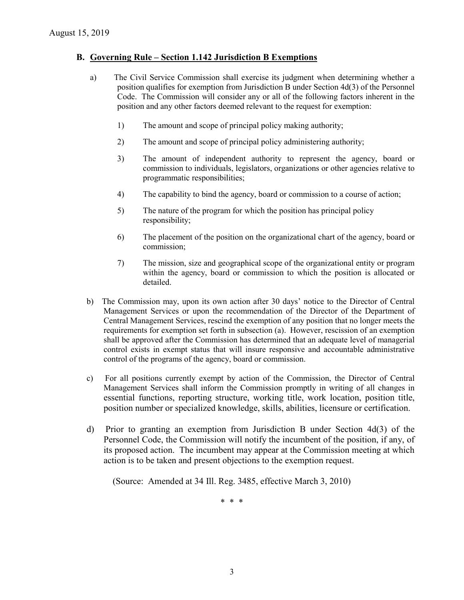#### **B. Governing Rule – Section 1.142 Jurisdiction B Exemptions**

- a) The Civil Service Commission shall exercise its judgment when determining whether a position qualifies for exemption from Jurisdiction B under Section 4d(3) of the Personnel Code. The Commission will consider any or all of the following factors inherent in the position and any other factors deemed relevant to the request for exemption:
	- 1) The amount and scope of principal policy making authority;
	- 2) The amount and scope of principal policy administering authority;
	- 3) The amount of independent authority to represent the agency, board or commission to individuals, legislators, organizations or other agencies relative to programmatic responsibilities;
	- 4) The capability to bind the agency, board or commission to a course of action;
	- 5) The nature of the program for which the position has principal policy responsibility;
	- 6) The placement of the position on the organizational chart of the agency, board or commission;
	- 7) The mission, size and geographical scope of the organizational entity or program within the agency, board or commission to which the position is allocated or detailed.
- b) The Commission may, upon its own action after 30 days' notice to the Director of Central Management Services or upon the recommendation of the Director of the Department of Central Management Services, rescind the exemption of any position that no longer meets the requirements for exemption set forth in subsection (a). However, rescission of an exemption shall be approved after the Commission has determined that an adequate level of managerial control exists in exempt status that will insure responsive and accountable administrative control of the programs of the agency, board or commission.
- c) For all positions currently exempt by action of the Commission, the Director of Central Management Services shall inform the Commission promptly in writing of all changes in essential functions, reporting structure, working title, work location, position title, position number or specialized knowledge, skills, abilities, licensure or certification.
- d) Prior to granting an exemption from Jurisdiction B under Section 4d(3) of the Personnel Code, the Commission will notify the incumbent of the position, if any, of its proposed action. The incumbent may appear at the Commission meeting at which action is to be taken and present objections to the exemption request.

(Source: Amended at 34 Ill. Reg. 3485, effective March 3, 2010)

\* \* \*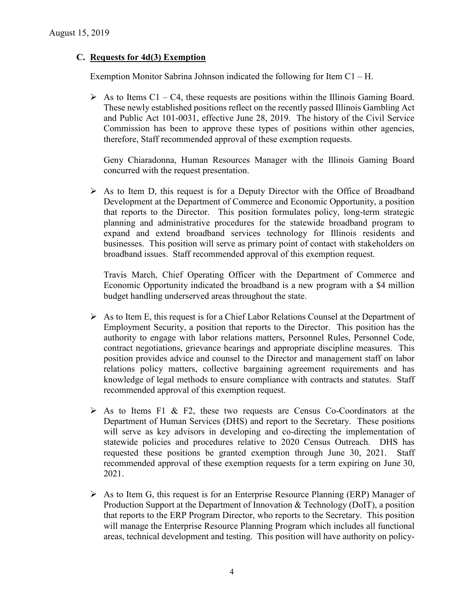#### **C. Requests for 4d(3) Exemption**

Exemption Monitor Sabrina Johnson indicated the following for Item C1 – H.

 $\triangleright$  As to Items C1 – C4, these requests are positions within the Illinois Gaming Board. These newly established positions reflect on the recently passed Illinois Gambling Act and Public Act 101-0031, effective June 28, 2019. The history of the Civil Service Commission has been to approve these types of positions within other agencies, therefore, Staff recommended approval of these exemption requests.

Geny Chiaradonna, Human Resources Manager with the Illinois Gaming Board concurred with the request presentation.

 $\triangleright$  As to Item D, this request is for a Deputy Director with the Office of Broadband Development at the Department of Commerce and Economic Opportunity, a position that reports to the Director. This position formulates policy, long-term strategic planning and administrative procedures for the statewide broadband program to expand and extend broadband services technology for Illinois residents and businesses. This position will serve as primary point of contact with stakeholders on broadband issues. Staff recommended approval of this exemption request.

Travis March, Chief Operating Officer with the Department of Commerce and Economic Opportunity indicated the broadband is a new program with a \$4 million budget handling underserved areas throughout the state.

- $\triangleright$  As to Item E, this request is for a Chief Labor Relations Counsel at the Department of Employment Security, a position that reports to the Director. This position has the authority to engage with labor relations matters, Personnel Rules, Personnel Code, contract negotiations, grievance hearings and appropriate discipline measures. This position provides advice and counsel to the Director and management staff on labor relations policy matters, collective bargaining agreement requirements and has knowledge of legal methods to ensure compliance with contracts and statutes. Staff recommended approval of this exemption request.
- $\triangleright$  As to Items F1 & F2, these two requests are Census Co-Coordinators at the Department of Human Services (DHS) and report to the Secretary. These positions will serve as key advisors in developing and co-directing the implementation of statewide policies and procedures relative to 2020 Census Outreach. DHS has requested these positions be granted exemption through June 30, 2021. Staff recommended approval of these exemption requests for a term expiring on June 30, 2021.
- $\triangleright$  As to Item G, this request is for an Enterprise Resource Planning (ERP) Manager of Production Support at the Department of Innovation & Technology (DoIT), a position that reports to the ERP Program Director, who reports to the Secretary. This position will manage the Enterprise Resource Planning Program which includes all functional areas, technical development and testing. This position will have authority on policy-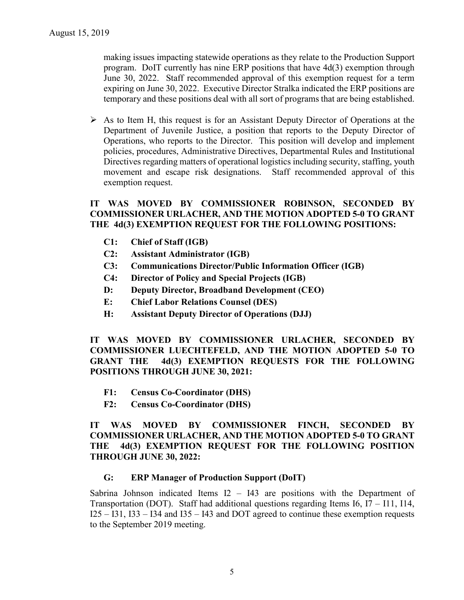making issues impacting statewide operations as they relate to the Production Support program. DoIT currently has nine ERP positions that have 4d(3) exemption through June 30, 2022. Staff recommended approval of this exemption request for a term expiring on June 30, 2022. Executive Director Stralka indicated the ERP positions are temporary and these positions deal with all sort of programs that are being established.

 $\triangleright$  As to Item H, this request is for an Assistant Deputy Director of Operations at the Department of Juvenile Justice, a position that reports to the Deputy Director of Operations, who reports to the Director. This position will develop and implement policies, procedures, Administrative Directives, Departmental Rules and Institutional Directives regarding matters of operational logistics including security, staffing, youth movement and escape risk designations. Staff recommended approval of this exemption request.

### **IT WAS MOVED BY COMMISSIONER ROBINSON, SECONDED BY COMMISSIONER URLACHER, AND THE MOTION ADOPTED 5-0 TO GRANT THE 4d(3) EXEMPTION REQUEST FOR THE FOLLOWING POSITIONS:**

- **C1: Chief of Staff (IGB)**
- **C2: Assistant Administrator (IGB)**
- **C3: Communications Director/Public Information Officer (IGB)**
- **C4: Director of Policy and Special Projects (IGB)**
- **D: Deputy Director, Broadband Development (CEO)**
- **E: Chief Labor Relations Counsel (DES)**
- **H: Assistant Deputy Director of Operations (DJJ)**

**IT WAS MOVED BY COMMISSIONER URLACHER, SECONDED BY COMMISSIONER LUECHTEFELD, AND THE MOTION ADOPTED 5-0 TO GRANT THE 4d(3) EXEMPTION REQUESTS FOR THE FOLLOWING POSITIONS THROUGH JUNE 30, 2021:**

- **F1: Census Co-Coordinator (DHS)**
- **F2: Census Co-Coordinator (DHS)**

#### **IT WAS MOVED BY COMMISSIONER FINCH, SECONDED BY COMMISSIONER URLACHER, AND THE MOTION ADOPTED 5-0 TO GRANT THE 4d(3) EXEMPTION REQUEST FOR THE FOLLOWING POSITION THROUGH JUNE 30, 2022:**

#### **G: ERP Manager of Production Support (DoIT)**

Sabrina Johnson indicated Items  $I2 - I43$  are positions with the Department of Transportation (DOT). Staff had additional questions regarding Items I6, I7 – I11, I14,  $I25 - I31$ ,  $I33 - I34$  and  $I35 - I43$  and DOT agreed to continue these exemption requests to the September 2019 meeting.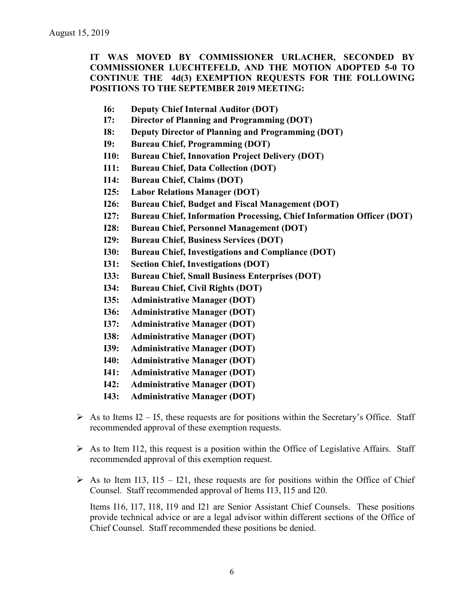**IT WAS MOVED BY COMMISSIONER URLACHER, SECONDED BY COMMISSIONER LUECHTEFELD, AND THE MOTION ADOPTED 5-0 TO CONTINUE THE 4d(3) EXEMPTION REQUESTS FOR THE FOLLOWING POSITIONS TO THE SEPTEMBER 2019 MEETING:**

- **I6: Deputy Chief Internal Auditor (DOT)**
- **I7: Director of Planning and Programming (DOT)**
- **I8: Deputy Director of Planning and Programming (DOT)**
- **I9: Bureau Chief, Programming (DOT)**
- **I10: Bureau Chief, Innovation Project Delivery (DOT)**
- **I11: Bureau Chief, Data Collection (DOT)**
- **I14: Bureau Chief, Claims (DOT)**
- **I25: Labor Relations Manager (DOT)**
- **I26: Bureau Chief, Budget and Fiscal Management (DOT)**
- **I27: Bureau Chief, Information Processing, Chief Information Officer (DOT)**
- **I28: Bureau Chief, Personnel Management (DOT)**
- **I29: Bureau Chief, Business Services (DOT)**
- **I30: Bureau Chief, Investigations and Compliance (DOT)**
- **I31: Section Chief, Investigations (DOT)**
- **I33: Bureau Chief, Small Business Enterprises (DOT)**
- **I34: Bureau Chief, Civil Rights (DOT)**
- **I35: Administrative Manager (DOT)**
- **I36: Administrative Manager (DOT)**
- **I37: Administrative Manager (DOT)**
- **I38: Administrative Manager (DOT)**
- **I39: Administrative Manager (DOT)**
- **I40: Administrative Manager (DOT)**
- **I41: Administrative Manager (DOT)**
- **I42: Administrative Manager (DOT)**
- **I43: Administrative Manager (DOT)**
- $\triangleright$  As to Items I2 I5, these requests are for positions within the Secretary's Office. Staff recommended approval of these exemption requests.
- $\triangleright$  As to Item I12, this request is a position within the Office of Legislative Affairs. Staff recommended approval of this exemption request.
- $\triangleright$  As to Item I13, I15 I21, these requests are for positions within the Office of Chief Counsel. Staff recommended approval of Items I13, I15 and I20.

Items I16, I17, I18, I19 and I21 are Senior Assistant Chief Counsels. These positions provide technical advice or are a legal advisor within different sections of the Office of Chief Counsel. Staff recommended these positions be denied.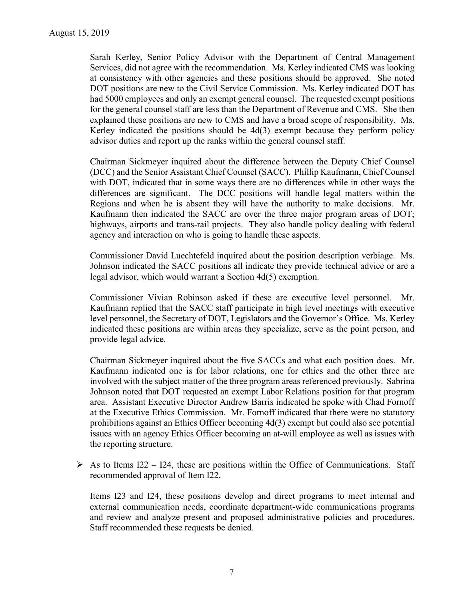Sarah Kerley, Senior Policy Advisor with the Department of Central Management Services, did not agree with the recommendation. Ms. Kerley indicated CMS was looking at consistency with other agencies and these positions should be approved. She noted DOT positions are new to the Civil Service Commission. Ms. Kerley indicated DOT has had 5000 employees and only an exempt general counsel. The requested exempt positions for the general counsel staff are less than the Department of Revenue and CMS. She then explained these positions are new to CMS and have a broad scope of responsibility. Ms. Kerley indicated the positions should be  $4d(3)$  exempt because they perform policy advisor duties and report up the ranks within the general counsel staff.

Chairman Sickmeyer inquired about the difference between the Deputy Chief Counsel (DCC) and the Senior Assistant Chief Counsel (SACC). Phillip Kaufmann, Chief Counsel with DOT, indicated that in some ways there are no differences while in other ways the differences are significant. The DCC positions will handle legal matters within the Regions and when he is absent they will have the authority to make decisions. Mr. Kaufmann then indicated the SACC are over the three major program areas of DOT; highways, airports and trans-rail projects. They also handle policy dealing with federal agency and interaction on who is going to handle these aspects.

Commissioner David Luechtefeld inquired about the position description verbiage. Ms. Johnson indicated the SACC positions all indicate they provide technical advice or are a legal advisor, which would warrant a Section 4d(5) exemption.

Commissioner Vivian Robinson asked if these are executive level personnel. Mr. Kaufmann replied that the SACC staff participate in high level meetings with executive level personnel, the Secretary of DOT, Legislators and the Governor's Office. Ms. Kerley indicated these positions are within areas they specialize, serve as the point person, and provide legal advice.

Chairman Sickmeyer inquired about the five SACCs and what each position does. Mr. Kaufmann indicated one is for labor relations, one for ethics and the other three are involved with the subject matter of the three program areas referenced previously. Sabrina Johnson noted that DOT requested an exempt Labor Relations position for that program area. Assistant Executive Director Andrew Barris indicated he spoke with Chad Fornoff at the Executive Ethics Commission. Mr. Fornoff indicated that there were no statutory prohibitions against an Ethics Officer becoming 4d(3) exempt but could also see potential issues with an agency Ethics Officer becoming an at-will employee as well as issues with the reporting structure.

 $\triangleright$  As to Items I22 – I24, these are positions within the Office of Communications. Staff recommended approval of Item I22.

Items I23 and I24, these positions develop and direct programs to meet internal and external communication needs, coordinate department-wide communications programs and review and analyze present and proposed administrative policies and procedures. Staff recommended these requests be denied.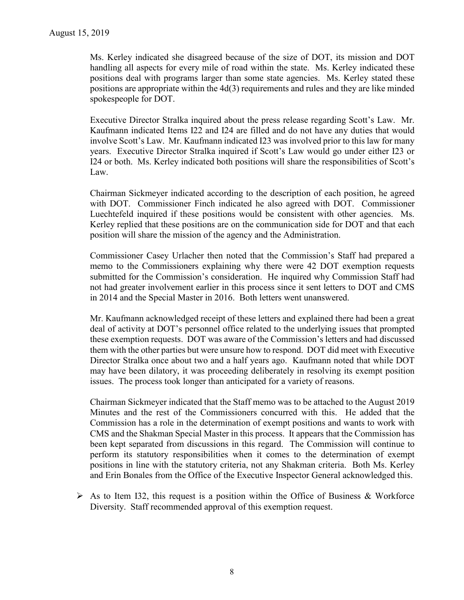Ms. Kerley indicated she disagreed because of the size of DOT, its mission and DOT handling all aspects for every mile of road within the state. Ms. Kerley indicated these positions deal with programs larger than some state agencies. Ms. Kerley stated these positions are appropriate within the 4d(3) requirements and rules and they are like minded spokespeople for DOT.

Executive Director Stralka inquired about the press release regarding Scott's Law. Mr. Kaufmann indicated Items I22 and I24 are filled and do not have any duties that would involve Scott's Law. Mr. Kaufmann indicated I23 was involved prior to this law for many years. Executive Director Stralka inquired if Scott's Law would go under either I23 or I24 or both. Ms. Kerley indicated both positions will share the responsibilities of Scott's Law.

Chairman Sickmeyer indicated according to the description of each position, he agreed with DOT. Commissioner Finch indicated he also agreed with DOT. Commissioner Luechtefeld inquired if these positions would be consistent with other agencies. Ms. Kerley replied that these positions are on the communication side for DOT and that each position will share the mission of the agency and the Administration.

Commissioner Casey Urlacher then noted that the Commission's Staff had prepared a memo to the Commissioners explaining why there were 42 DOT exemption requests submitted for the Commission's consideration. He inquired why Commission Staff had not had greater involvement earlier in this process since it sent letters to DOT and CMS in 2014 and the Special Master in 2016. Both letters went unanswered.

Mr. Kaufmann acknowledged receipt of these letters and explained there had been a great deal of activity at DOT's personnel office related to the underlying issues that prompted these exemption requests. DOT was aware of the Commission's letters and had discussed them with the other parties but were unsure how to respond. DOT did meet with Executive Director Stralka once about two and a half years ago. Kaufmann noted that while DOT may have been dilatory, it was proceeding deliberately in resolving its exempt position issues. The process took longer than anticipated for a variety of reasons.

Chairman Sickmeyer indicated that the Staff memo was to be attached to the August 2019 Minutes and the rest of the Commissioners concurred with this. He added that the Commission has a role in the determination of exempt positions and wants to work with CMS and the Shakman Special Master in this process. It appears that the Commission has been kept separated from discussions in this regard. The Commission will continue to perform its statutory responsibilities when it comes to the determination of exempt positions in line with the statutory criteria, not any Shakman criteria. Both Ms. Kerley and Erin Bonales from the Office of the Executive Inspector General acknowledged this.

 $\triangleright$  As to Item I32, this request is a position within the Office of Business & Workforce Diversity. Staff recommended approval of this exemption request.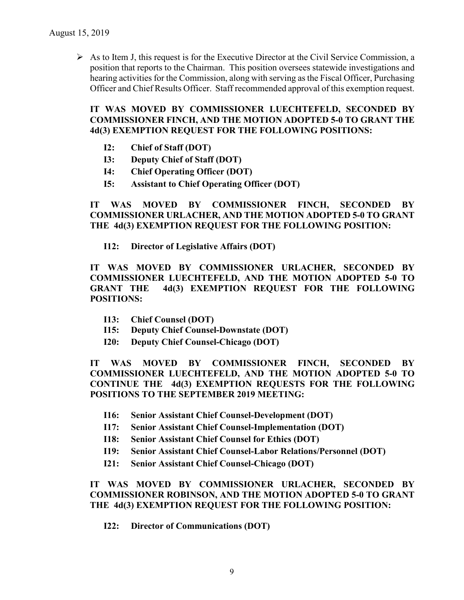$\triangleright$  As to Item J, this request is for the Executive Director at the Civil Service Commission, a position that reports to the Chairman. This position oversees statewide investigations and hearing activities for the Commission, along with serving as the Fiscal Officer, Purchasing Officer and Chief Results Officer. Staff recommended approval of this exemption request.

**IT WAS MOVED BY COMMISSIONER LUECHTEFELD, SECONDED BY COMMISSIONER FINCH, AND THE MOTION ADOPTED 5-0 TO GRANT THE 4d(3) EXEMPTION REQUEST FOR THE FOLLOWING POSITIONS:**

- **I2: Chief of Staff (DOT)**
- **I3: Deputy Chief of Staff (DOT)**
- **I4: Chief Operating Officer (DOT)**
- **I5: Assistant to Chief Operating Officer (DOT)**

**IT WAS MOVED BY COMMISSIONER FINCH, SECONDED BY COMMISSIONER URLACHER, AND THE MOTION ADOPTED 5-0 TO GRANT THE 4d(3) EXEMPTION REQUEST FOR THE FOLLOWING POSITION:**

**I12: Director of Legislative Affairs (DOT)**

**IT WAS MOVED BY COMMISSIONER URLACHER, SECONDED BY COMMISSIONER LUECHTEFELD, AND THE MOTION ADOPTED 5-0 TO GRANT THE 4d(3) EXEMPTION REQUEST FOR THE FOLLOWING POSITIONS:**

- **I13: Chief Counsel (DOT)**
- **I15: Deputy Chief Counsel-Downstate (DOT)**
- **I20: Deputy Chief Counsel-Chicago (DOT)**

**IT WAS MOVED BY COMMISSIONER FINCH, SECONDED BY COMMISSIONER LUECHTEFELD, AND THE MOTION ADOPTED 5-0 TO CONTINUE THE 4d(3) EXEMPTION REQUESTS FOR THE FOLLOWING POSITIONS TO THE SEPTEMBER 2019 MEETING:**

- **I16: Senior Assistant Chief Counsel-Development (DOT)**
- **I17: Senior Assistant Chief Counsel-Implementation (DOT)**
- **I18: Senior Assistant Chief Counsel for Ethics (DOT)**
- **I19: Senior Assistant Chief Counsel-Labor Relations/Personnel (DOT)**
- **I21: Senior Assistant Chief Counsel-Chicago (DOT)**

**IT WAS MOVED BY COMMISSIONER URLACHER, SECONDED BY COMMISSIONER ROBINSON, AND THE MOTION ADOPTED 5-0 TO GRANT THE 4d(3) EXEMPTION REQUEST FOR THE FOLLOWING POSITION:**

**I22: Director of Communications (DOT)**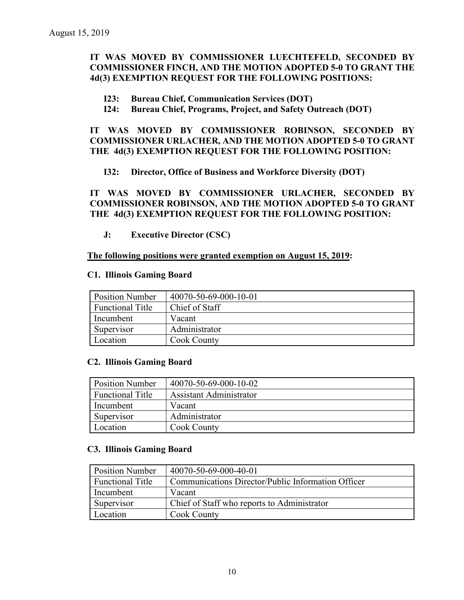### **IT WAS MOVED BY COMMISSIONER LUECHTEFELD, SECONDED BY COMMISSIONER FINCH, AND THE MOTION ADOPTED 5-0 TO GRANT THE 4d(3) EXEMPTION REQUEST FOR THE FOLLOWING POSITIONS:**

- **I23: Bureau Chief, Communication Services (DOT)**
- **I24: Bureau Chief, Programs, Project, and Safety Outreach (DOT)**

#### **IT WAS MOVED BY COMMISSIONER ROBINSON, SECONDED BY COMMISSIONER URLACHER, AND THE MOTION ADOPTED 5-0 TO GRANT THE 4d(3) EXEMPTION REQUEST FOR THE FOLLOWING POSITION:**

**I32: Director, Office of Business and Workforce Diversity (DOT)**

**IT WAS MOVED BY COMMISSIONER URLACHER, SECONDED BY COMMISSIONER ROBINSON, AND THE MOTION ADOPTED 5-0 TO GRANT THE 4d(3) EXEMPTION REQUEST FOR THE FOLLOWING POSITION:**

**J: Executive Director (CSC)**

#### **The following positions were granted exemption on August 15, 2019:**

#### **C1. Illinois Gaming Board**

| <b>Position Number</b>  | 40070-50-69-000-10-01 |
|-------------------------|-----------------------|
| <b>Functional Title</b> | Chief of Staff        |
| Incumbent               | Vacant                |
| Supervisor              | Administrator         |
| Location                | Cook County           |

#### **C2. Illinois Gaming Board**

| <b>Position Number</b>  | 40070-50-69-000-10-02          |
|-------------------------|--------------------------------|
| <b>Functional Title</b> | <b>Assistant Administrator</b> |
| Incumbent               | Vacant                         |
| Supervisor              | Administrator                  |
| Location                | Cook County                    |

#### **C3. Illinois Gaming Board**

| <b>Position Number</b>  | 40070-50-69-000-40-01                              |
|-------------------------|----------------------------------------------------|
| <b>Functional Title</b> | Communications Director/Public Information Officer |
| Incumbent               | Vacant                                             |
| Supervisor              | Chief of Staff who reports to Administrator        |
| Location                | Cook County                                        |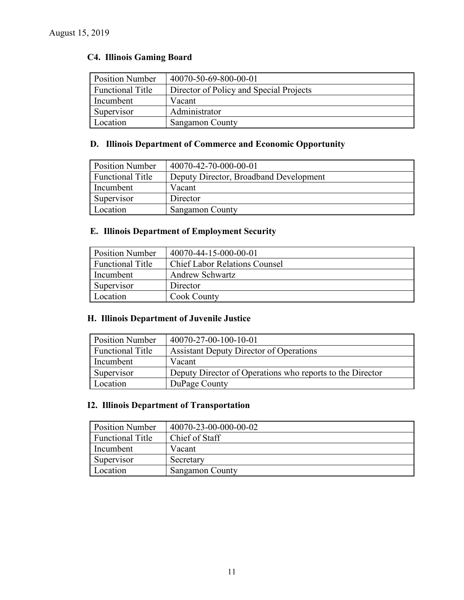# **C4. Illinois Gaming Board**

| <b>Position Number</b>  | 40070-50-69-800-00-01                   |
|-------------------------|-----------------------------------------|
| <b>Functional Title</b> | Director of Policy and Special Projects |
| Incumbent               | Vacant                                  |
| Supervisor              | Administrator                           |
| Location                | <b>Sangamon County</b>                  |

# **D. Illinois Department of Commerce and Economic Opportunity**

| <b>Position Number</b>  | 40070-42-70-000-00-01                  |
|-------------------------|----------------------------------------|
| <b>Functional Title</b> | Deputy Director, Broadband Development |
| Incumbent               | Vacant                                 |
| Supervisor              | Director                               |
| Location                | <b>Sangamon County</b>                 |

# **E. Illinois Department of Employment Security**

| <b>Position Number</b>  | 40070-44-15-000-00-01                |
|-------------------------|--------------------------------------|
| <b>Functional Title</b> | <b>Chief Labor Relations Counsel</b> |
| Incumbent               | <b>Andrew Schwartz</b>               |
| Supervisor              | Director                             |
| Location                | Cook County                          |

# **H. Illinois Department of Juvenile Justice**

| <b>Position Number</b>  | 40070-27-00-100-10-01                                     |
|-------------------------|-----------------------------------------------------------|
| <b>Functional Title</b> | Assistant Deputy Director of Operations                   |
| Incumbent               | Vacant                                                    |
| Supervisor              | Deputy Director of Operations who reports to the Director |
| Location                | DuPage County                                             |

### **I2. Illinois Department of Transportation**

| <b>Position Number</b>  | 40070-23-00-000-00-02  |
|-------------------------|------------------------|
| <b>Functional Title</b> | Chief of Staff         |
| Incumbent               | Vacant                 |
| Supervisor              | Secretary              |
| Location                | <b>Sangamon County</b> |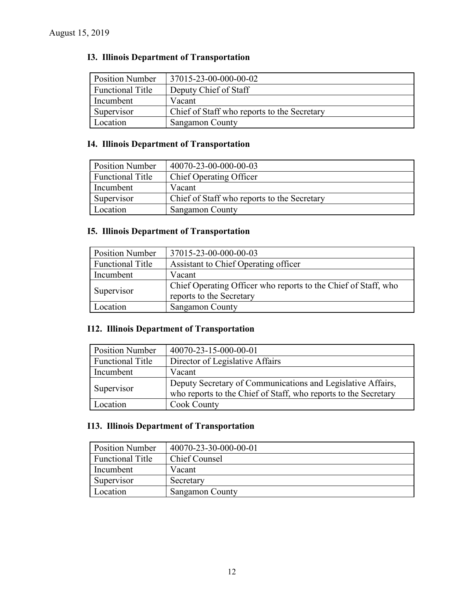# **I3. Illinois Department of Transportation**

| <b>Position Number</b>  | 37015-23-00-000-00-02                       |
|-------------------------|---------------------------------------------|
| <b>Functional Title</b> | Deputy Chief of Staff                       |
| Incumbent               | Vacant                                      |
| Supervisor              | Chief of Staff who reports to the Secretary |
| Location                | <b>Sangamon County</b>                      |

### **I4. Illinois Department of Transportation**

| <b>Position Number</b>  | 40070-23-00-000-00-03                       |
|-------------------------|---------------------------------------------|
| <b>Functional Title</b> | <b>Chief Operating Officer</b>              |
| Incumbent               | Vacant                                      |
| Supervisor              | Chief of Staff who reports to the Secretary |
| Location                | <b>Sangamon County</b>                      |

# **I5. Illinois Department of Transportation**

| <b>Position Number</b>  | 37015-23-00-000-00-03                                                                      |
|-------------------------|--------------------------------------------------------------------------------------------|
| <b>Functional Title</b> | Assistant to Chief Operating officer                                                       |
| Incumbent               | Vacant                                                                                     |
| Supervisor              | Chief Operating Officer who reports to the Chief of Staff, who<br>reports to the Secretary |
| Location                | Sangamon County                                                                            |

### **I12. Illinois Department of Transportation**

| <b>Position Number</b>  | 40070-23-15-000-00-01                                                                                                          |
|-------------------------|--------------------------------------------------------------------------------------------------------------------------------|
| <b>Functional Title</b> | Director of Legislative Affairs                                                                                                |
| Incumbent               | Vacant                                                                                                                         |
| Supervisor              | Deputy Secretary of Communications and Legislative Affairs,<br>who reports to the Chief of Staff, who reports to the Secretary |
| Location                | <b>Cook County</b>                                                                                                             |

### **I13. Illinois Department of Transportation**

| <b>Position Number</b>  | 40070-23-30-000-00-01 |
|-------------------------|-----------------------|
| <b>Functional Title</b> | <b>Chief Counsel</b>  |
| Incumbent               | Vacant                |
| Supervisor              | Secretary             |
| Location                | Sangamon County       |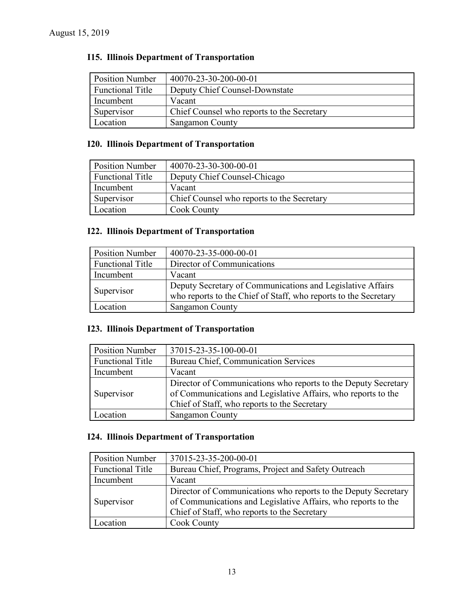# **I15. Illinois Department of Transportation**

| <b>Position Number</b>  | 40070-23-30-200-00-01                      |
|-------------------------|--------------------------------------------|
| <b>Functional Title</b> | Deputy Chief Counsel-Downstate             |
| Incumbent               | Vacant                                     |
| Supervisor              | Chief Counsel who reports to the Secretary |
| Location                | <b>Sangamon County</b>                     |

# **I20. Illinois Department of Transportation**

| <b>Position Number</b>  | 40070-23-30-300-00-01                      |
|-------------------------|--------------------------------------------|
| <b>Functional Title</b> | Deputy Chief Counsel-Chicago               |
| Incumbent               | Vacant                                     |
| Supervisor              | Chief Counsel who reports to the Secretary |
| Location                | <b>Cook County</b>                         |

# **I22. Illinois Department of Transportation**

| <b>Position Number</b>  | 40070-23-35-000-00-01                                                                                                         |
|-------------------------|-------------------------------------------------------------------------------------------------------------------------------|
| <b>Functional Title</b> | Director of Communications                                                                                                    |
| Incumbent               | Vacant                                                                                                                        |
| Supervisor              | Deputy Secretary of Communications and Legislative Affairs<br>who reports to the Chief of Staff, who reports to the Secretary |
| Location                | <b>Sangamon County</b>                                                                                                        |

### **I23. Illinois Department of Transportation**

| <b>Position Number</b>  | 37015-23-35-100-00-01                                                                                                                                                           |
|-------------------------|---------------------------------------------------------------------------------------------------------------------------------------------------------------------------------|
| <b>Functional Title</b> | <b>Bureau Chief, Communication Services</b>                                                                                                                                     |
| Incumbent               | Vacant                                                                                                                                                                          |
| Supervisor              | Director of Communications who reports to the Deputy Secretary<br>of Communications and Legislative Affairs, who reports to the<br>Chief of Staff, who reports to the Secretary |
| Location                | <b>Sangamon County</b>                                                                                                                                                          |

### **I24. Illinois Department of Transportation**

| <b>Position Number</b>  | 37015-23-35-200-00-01                                                                                                                                                           |
|-------------------------|---------------------------------------------------------------------------------------------------------------------------------------------------------------------------------|
| <b>Functional Title</b> | Bureau Chief, Programs, Project and Safety Outreach                                                                                                                             |
| Incumbent               | Vacant                                                                                                                                                                          |
| Supervisor              | Director of Communications who reports to the Deputy Secretary<br>of Communications and Legislative Affairs, who reports to the<br>Chief of Staff, who reports to the Secretary |
| Location                | <b>Cook County</b>                                                                                                                                                              |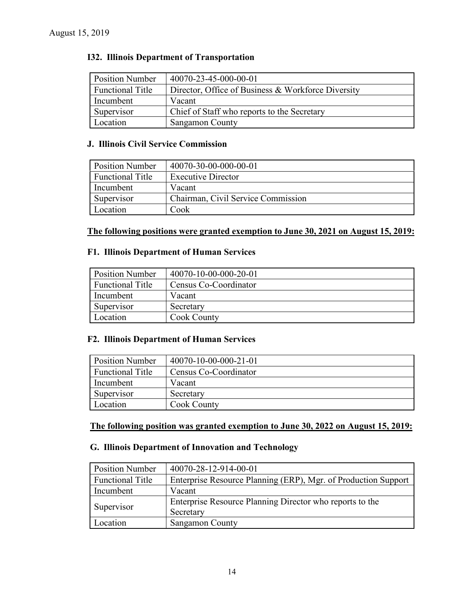### **I32. Illinois Department of Transportation**

| <b>Position Number</b>  | 40070-23-45-000-00-01                              |
|-------------------------|----------------------------------------------------|
| <b>Functional Title</b> | Director, Office of Business & Workforce Diversity |
| Incumbent               | Vacant                                             |
| Supervisor              | Chief of Staff who reports to the Secretary        |
| Location                | <b>Sangamon County</b>                             |

#### **J. Illinois Civil Service Commission**

| <b>Position Number</b>  | 40070-30-00-000-00-01              |
|-------------------------|------------------------------------|
| <b>Functional Title</b> | <b>Executive Director</b>          |
| Incumbent               | Vacant                             |
| Supervisor              | Chairman, Civil Service Commission |
| Location                | Cook                               |

### **The following positions were granted exemption to June 30, 2021 on August 15, 2019:**

### **F1. Illinois Department of Human Services**

| <b>Position Number</b>  | 40070-10-00-000-20-01 |
|-------------------------|-----------------------|
| <b>Functional Title</b> | Census Co-Coordinator |
| Incumbent               | Vacant                |
| Supervisor              | Secretary             |
| Location                | <b>Cook County</b>    |

#### **F2. Illinois Department of Human Services**

| <b>Position Number</b>  | 40070-10-00-000-21-01 |
|-------------------------|-----------------------|
| <b>Functional Title</b> | Census Co-Coordinator |
| Incumbent               | Vacant                |
| Supervisor              | Secretary             |
| Location                | <b>Cook County</b>    |

# **The following position was granted exemption to June 30, 2022 on August 15, 2019:**

# **G. Illinois Department of Innovation and Technology**

| <b>Position Number</b>  | 40070-28-12-914-00-01                                          |
|-------------------------|----------------------------------------------------------------|
| <b>Functional Title</b> | Enterprise Resource Planning (ERP), Mgr. of Production Support |
| Incumbent               | Vacant                                                         |
| Supervisor              | Enterprise Resource Planning Director who reports to the       |
|                         | Secretary                                                      |
| Location                | Sangamon County                                                |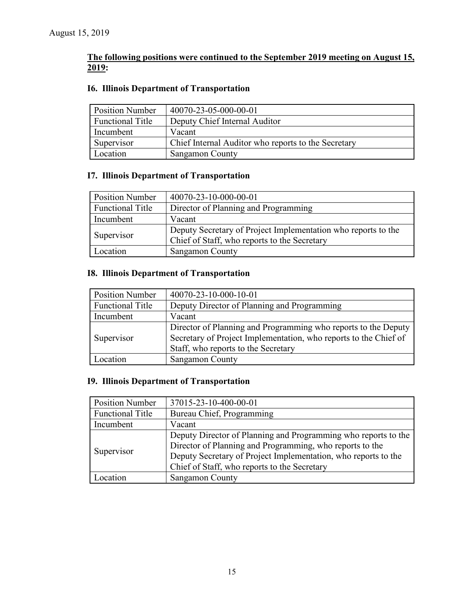### **The following positions were continued to the September 2019 meeting on August 15, 2019:**

### **I6. Illinois Department of Transportation**

| <b>Position Number</b>  | 40070-23-05-000-00-01                               |
|-------------------------|-----------------------------------------------------|
| <b>Functional Title</b> | Deputy Chief Internal Auditor                       |
| Incumbent               | Vacant                                              |
| Supervisor              | Chief Internal Auditor who reports to the Secretary |
| Location                | <b>Sangamon County</b>                              |

### **I7. Illinois Department of Transportation**

| Position Number         | 40070-23-10-000-00-01                                                                                         |
|-------------------------|---------------------------------------------------------------------------------------------------------------|
| <b>Functional Title</b> | Director of Planning and Programming                                                                          |
| Incumbent               | Vacant                                                                                                        |
| Supervisor              | Deputy Secretary of Project Implementation who reports to the<br>Chief of Staff, who reports to the Secretary |
| Location                | Sangamon County                                                                                               |

# **I8. Illinois Department of Transportation**

| <b>Position Number</b>  | 40070-23-10-000-10-01                                                                                                                                                     |
|-------------------------|---------------------------------------------------------------------------------------------------------------------------------------------------------------------------|
| <b>Functional Title</b> | Deputy Director of Planning and Programming                                                                                                                               |
| Incumbent               | Vacant                                                                                                                                                                    |
| Supervisor              | Director of Planning and Programming who reports to the Deputy<br>Secretary of Project Implementation, who reports to the Chief of<br>Staff, who reports to the Secretary |
| ocation                 | Sangamon County                                                                                                                                                           |

# **I9. Illinois Department of Transportation**

| <b>Position Number</b>  | 37015-23-10-400-00-01                                          |
|-------------------------|----------------------------------------------------------------|
| <b>Functional Title</b> | Bureau Chief, Programming                                      |
| Incumbent               | Vacant                                                         |
| Supervisor              | Deputy Director of Planning and Programming who reports to the |
|                         | Director of Planning and Programming, who reports to the       |
|                         | Deputy Secretary of Project Implementation, who reports to the |
|                         | Chief of Staff, who reports to the Secretary                   |
| Location                | <b>Sangamon County</b>                                         |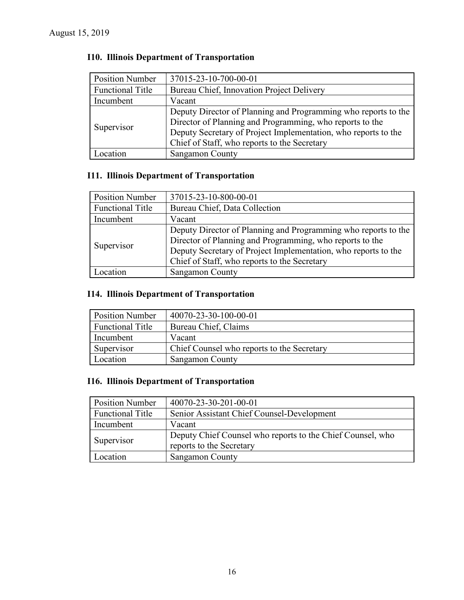| <b>Position Number</b>  | 37015-23-10-700-00-01                                          |
|-------------------------|----------------------------------------------------------------|
| <b>Functional Title</b> | Bureau Chief, Innovation Project Delivery                      |
| Incumbent               | Vacant                                                         |
| Supervisor              | Deputy Director of Planning and Programming who reports to the |
|                         | Director of Planning and Programming, who reports to the       |
|                         | Deputy Secretary of Project Implementation, who reports to the |
|                         | Chief of Staff, who reports to the Secretary                   |
| ocation                 | Sangamon County                                                |

# **I10. Illinois Department of Transportation**

### **I11. Illinois Department of Transportation**

| <b>Position Number</b>  | 37015-23-10-800-00-01                                          |
|-------------------------|----------------------------------------------------------------|
| <b>Functional Title</b> | Bureau Chief, Data Collection                                  |
| Incumbent               | Vacant                                                         |
| Supervisor              | Deputy Director of Planning and Programming who reports to the |
|                         | Director of Planning and Programming, who reports to the       |
|                         | Deputy Secretary of Project Implementation, who reports to the |
|                         | Chief of Staff, who reports to the Secretary                   |
| ocation                 | <b>Sangamon County</b>                                         |

# **I14. Illinois Department of Transportation**

| <b>Position Number</b>  | 40070-23-30-100-00-01                      |
|-------------------------|--------------------------------------------|
| <b>Functional Title</b> | Bureau Chief, Claims                       |
| Incumbent               | Vacant                                     |
| Supervisor              | Chief Counsel who reports to the Secretary |
| Location                | Sangamon County                            |

# **I16. Illinois Department of Transportation**

| <b>Position Number</b>  | 40070-23-30-201-00-01                                                                  |
|-------------------------|----------------------------------------------------------------------------------------|
| <b>Functional Title</b> | Senior Assistant Chief Counsel-Development                                             |
| Incumbent               | Vacant                                                                                 |
| Supervisor              | Deputy Chief Counsel who reports to the Chief Counsel, who<br>reports to the Secretary |
| Location                | <b>Sangamon County</b>                                                                 |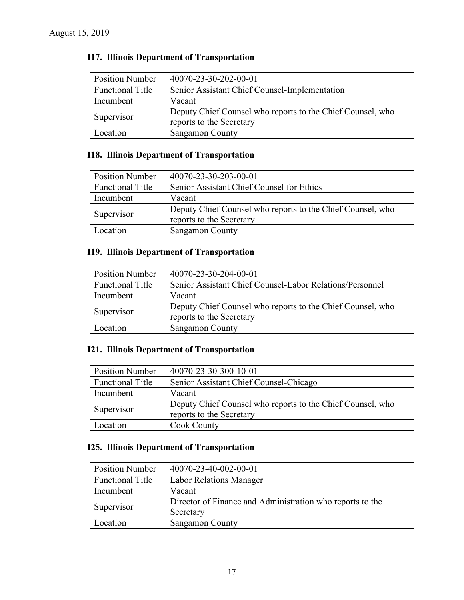# **I17. Illinois Department of Transportation**

| <b>Position Number</b>  | 40070-23-30-202-00-01                                                                  |
|-------------------------|----------------------------------------------------------------------------------------|
| <b>Functional Title</b> | Senior Assistant Chief Counsel-Implementation                                          |
| Incumbent               | Vacant                                                                                 |
| Supervisor              | Deputy Chief Counsel who reports to the Chief Counsel, who<br>reports to the Secretary |
| Location                | Sangamon County                                                                        |

### **I18. Illinois Department of Transportation**

| <b>Position Number</b>  | 40070-23-30-203-00-01                                                                  |
|-------------------------|----------------------------------------------------------------------------------------|
| <b>Functional Title</b> | Senior Assistant Chief Counsel for Ethics                                              |
| Incumbent               | Vacant                                                                                 |
| Supervisor              | Deputy Chief Counsel who reports to the Chief Counsel, who<br>reports to the Secretary |
| Location                | <b>Sangamon County</b>                                                                 |

# **I19. Illinois Department of Transportation**

| <b>Position Number</b>  | 40070-23-30-204-00-01                                                                  |
|-------------------------|----------------------------------------------------------------------------------------|
| <b>Functional Title</b> | Senior Assistant Chief Counsel-Labor Relations/Personnel                               |
| Incumbent               | Vacant                                                                                 |
| Supervisor              | Deputy Chief Counsel who reports to the Chief Counsel, who<br>reports to the Secretary |
| Location                | <b>Sangamon County</b>                                                                 |

# **I21. Illinois Department of Transportation**

| <b>Position Number</b>  | 40070-23-30-300-10-01                                                                  |
|-------------------------|----------------------------------------------------------------------------------------|
| <b>Functional Title</b> | Senior Assistant Chief Counsel-Chicago                                                 |
| Incumbent               | Vacant                                                                                 |
| Supervisor              | Deputy Chief Counsel who reports to the Chief Counsel, who<br>reports to the Secretary |
| Location                | <b>Cook County</b>                                                                     |

# **I25. Illinois Department of Transportation**

| <b>Position Number</b>  | 40070-23-40-002-00-01                                     |
|-------------------------|-----------------------------------------------------------|
| <b>Functional Title</b> | <b>Labor Relations Manager</b>                            |
| Incumbent               | Vacant                                                    |
| Supervisor              | Director of Finance and Administration who reports to the |
|                         | Secretary                                                 |
| ocation                 | Sangamon County                                           |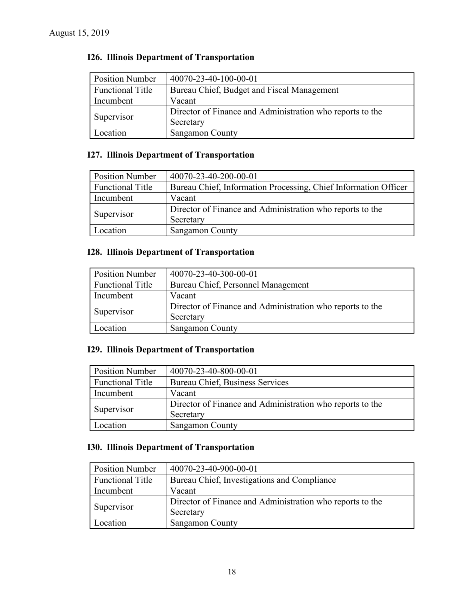# **I26. Illinois Department of Transportation**

| <b>Position Number</b>  | 40070-23-40-100-00-01                                     |
|-------------------------|-----------------------------------------------------------|
| <b>Functional Title</b> | Bureau Chief, Budget and Fiscal Management                |
| Incumbent               | Vacant                                                    |
| Supervisor              | Director of Finance and Administration who reports to the |
|                         | Secretary                                                 |
| Location                | <b>Sangamon County</b>                                    |

# **I27. Illinois Department of Transportation**

| <b>Position Number</b> | 40070-23-40-200-00-01                                           |
|------------------------|-----------------------------------------------------------------|
|                        |                                                                 |
| Functional Title       | Bureau Chief, Information Processing, Chief Information Officer |
| Incumbent              | Vacant                                                          |
| Supervisor             | Director of Finance and Administration who reports to the       |
|                        | Secretary                                                       |
| Location               | Sangamon County                                                 |

# **I28. Illinois Department of Transportation**

| <b>Position Number</b>  | 40070-23-40-300-00-01                                     |
|-------------------------|-----------------------------------------------------------|
| <b>Functional Title</b> | Bureau Chief, Personnel Management                        |
| Incumbent               | Vacant                                                    |
| Supervisor              | Director of Finance and Administration who reports to the |
|                         | Secretary                                                 |
| Location                | Sangamon County                                           |

### **I29. Illinois Department of Transportation**

| <b>Position Number</b>  | 40070-23-40-800-00-01                                     |
|-------------------------|-----------------------------------------------------------|
| <b>Functional Title</b> | Bureau Chief, Business Services                           |
| Incumbent               | Vacant                                                    |
| Supervisor              | Director of Finance and Administration who reports to the |
|                         | Secretary                                                 |
| Location                | Sangamon County                                           |

# **I30. Illinois Department of Transportation**

| <b>Position Number</b>  | 40070-23-40-900-00-01                                     |
|-------------------------|-----------------------------------------------------------|
| <b>Functional Title</b> | Bureau Chief, Investigations and Compliance               |
| Incumbent               | Vacant                                                    |
| Supervisor              | Director of Finance and Administration who reports to the |
|                         | Secretary                                                 |
| <i>c</i> ocation        | Sangamon County                                           |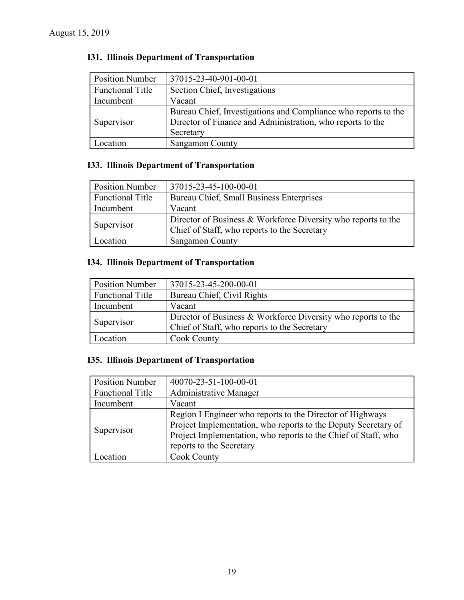| <b>Position Number</b>  | 37015-23-40-901-00-01                                                                                                                     |
|-------------------------|-------------------------------------------------------------------------------------------------------------------------------------------|
| <b>Functional Title</b> | Section Chief, Investigations                                                                                                             |
| Incumbent               | Vacant                                                                                                                                    |
| Supervisor              | Bureau Chief, Investigations and Compliance who reports to the<br>Director of Finance and Administration, who reports to the<br>Secretary |
| Location                | <b>Sangamon County</b>                                                                                                                    |

# **I31. Illinois Department of Transportation**

# **I33. Illinois Department of Transportation**

| <b>Position Number</b>  | 37015-23-45-100-00-01                                         |
|-------------------------|---------------------------------------------------------------|
| <b>Functional Title</b> | Bureau Chief, Small Business Enterprises                      |
| Incumbent               | Vacant                                                        |
| Supervisor              | Director of Business & Workforce Diversity who reports to the |
|                         | Chief of Staff, who reports to the Secretary                  |
| Location                | Sangamon County                                               |

# **I34. Illinois Department of Transportation**

| <b>Position Number</b>  | 37015-23-45-200-00-01                                         |
|-------------------------|---------------------------------------------------------------|
| <b>Functional Title</b> | Bureau Chief, Civil Rights                                    |
| Incumbent               | Vacant                                                        |
| Supervisor              | Director of Business & Workforce Diversity who reports to the |
|                         | Chief of Staff, who reports to the Secretary                  |
| Location                | <b>Cook County</b>                                            |

# **I35. Illinois Department of Transportation**

| <b>Position Number</b>  | 40070-23-51-100-00-01                                                                                                                                                                                                     |
|-------------------------|---------------------------------------------------------------------------------------------------------------------------------------------------------------------------------------------------------------------------|
| <b>Functional Title</b> | <b>Administrative Manager</b>                                                                                                                                                                                             |
| Incumbent               | Vacant                                                                                                                                                                                                                    |
| Supervisor              | Region I Engineer who reports to the Director of Highways<br>Project Implementation, who reports to the Deputy Secretary of<br>Project Implementation, who reports to the Chief of Staff, who<br>reports to the Secretary |
| ocation                 | <b>Cook County</b>                                                                                                                                                                                                        |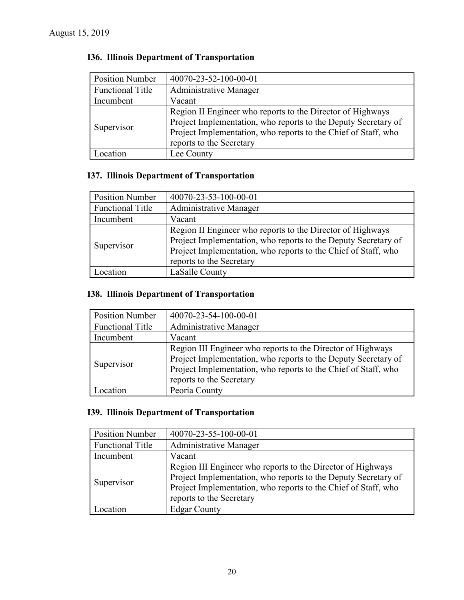| <b>Position Number</b>  | 40070-23-52-100-00-01                                                                                                                                                                                                      |
|-------------------------|----------------------------------------------------------------------------------------------------------------------------------------------------------------------------------------------------------------------------|
| <b>Functional Title</b> | <b>Administrative Manager</b>                                                                                                                                                                                              |
| Incumbent               | Vacant                                                                                                                                                                                                                     |
| Supervisor              | Region II Engineer who reports to the Director of Highways<br>Project Implementation, who reports to the Deputy Secretary of<br>Project Implementation, who reports to the Chief of Staff, who<br>reports to the Secretary |
| Location                | Lee County                                                                                                                                                                                                                 |

# **I36. Illinois Department of Transportation**

### **I37. Illinois Department of Transportation**

| <b>Position Number</b>  | 40070-23-53-100-00-01                                                                                                                                                                                                      |
|-------------------------|----------------------------------------------------------------------------------------------------------------------------------------------------------------------------------------------------------------------------|
| <b>Functional Title</b> | <b>Administrative Manager</b>                                                                                                                                                                                              |
| Incumbent               | Vacant                                                                                                                                                                                                                     |
| Supervisor              | Region II Engineer who reports to the Director of Highways<br>Project Implementation, who reports to the Deputy Secretary of<br>Project Implementation, who reports to the Chief of Staff, who<br>reports to the Secretary |
| Location                | LaSalle County                                                                                                                                                                                                             |

# **I38. Illinois Department of Transportation**

| <b>Position Number</b>  | 40070-23-54-100-00-01                                                                                                                                                                                                       |  |
|-------------------------|-----------------------------------------------------------------------------------------------------------------------------------------------------------------------------------------------------------------------------|--|
| <b>Functional Title</b> | Administrative Manager                                                                                                                                                                                                      |  |
| Incumbent               | Vacant                                                                                                                                                                                                                      |  |
| Supervisor              | Region III Engineer who reports to the Director of Highways<br>Project Implementation, who reports to the Deputy Secretary of<br>Project Implementation, who reports to the Chief of Staff, who<br>reports to the Secretary |  |
| ncatınn                 | Peoria County                                                                                                                                                                                                               |  |

### **I39. Illinois Department of Transportation**

| <b>Position Number</b>  | 40070-23-55-100-00-01                                                                                                                                                                                                       |  |
|-------------------------|-----------------------------------------------------------------------------------------------------------------------------------------------------------------------------------------------------------------------------|--|
| <b>Functional Title</b> | Administrative Manager                                                                                                                                                                                                      |  |
| Incumbent               | Vacant                                                                                                                                                                                                                      |  |
| Supervisor              | Region III Engineer who reports to the Director of Highways<br>Project Implementation, who reports to the Deputy Secretary of<br>Project Implementation, who reports to the Chief of Staff, who<br>reports to the Secretary |  |
| ocation                 | <b>Edgar County</b>                                                                                                                                                                                                         |  |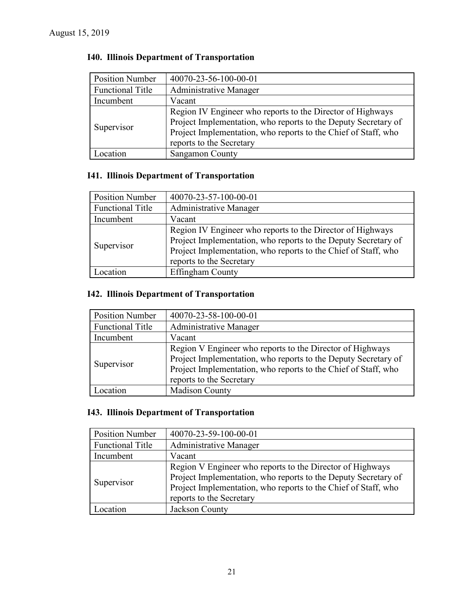| <b>Position Number</b>  | 40070-23-56-100-00-01                                                                                                                                                                                                      |  |
|-------------------------|----------------------------------------------------------------------------------------------------------------------------------------------------------------------------------------------------------------------------|--|
| <b>Functional Title</b> | <b>Administrative Manager</b>                                                                                                                                                                                              |  |
| Incumbent               | Vacant                                                                                                                                                                                                                     |  |
| Supervisor              | Region IV Engineer who reports to the Director of Highways<br>Project Implementation, who reports to the Deputy Secretary of<br>Project Implementation, who reports to the Chief of Staff, who<br>reports to the Secretary |  |
| Location                | <b>Sangamon County</b>                                                                                                                                                                                                     |  |

# **I40. Illinois Department of Transportation**

## **I41. Illinois Department of Transportation**

| <b>Position Number</b>  | 40070-23-57-100-00-01                                                                                                                                                                                                      |  |
|-------------------------|----------------------------------------------------------------------------------------------------------------------------------------------------------------------------------------------------------------------------|--|
| <b>Functional Title</b> | Administrative Manager                                                                                                                                                                                                     |  |
| Incumbent               | Vacant                                                                                                                                                                                                                     |  |
| Supervisor              | Region IV Engineer who reports to the Director of Highways<br>Project Implementation, who reports to the Deputy Secretary of<br>Project Implementation, who reports to the Chief of Staff, who<br>reports to the Secretary |  |
| <b>Contraction</b>      | <b>Effingham County</b>                                                                                                                                                                                                    |  |

# **I42. Illinois Department of Transportation**

| <b>Position Number</b>  | 40070-23-58-100-00-01                                                                                                                                                                                                     |  |
|-------------------------|---------------------------------------------------------------------------------------------------------------------------------------------------------------------------------------------------------------------------|--|
| <b>Functional Title</b> | <b>Administrative Manager</b>                                                                                                                                                                                             |  |
| Incumbent               | Vacant                                                                                                                                                                                                                    |  |
| Supervisor              | Region V Engineer who reports to the Director of Highways<br>Project Implementation, who reports to the Deputy Secretary of<br>Project Implementation, who reports to the Chief of Staff, who<br>reports to the Secretary |  |
| ocation                 | <b>Madison County</b>                                                                                                                                                                                                     |  |

### **I43. Illinois Department of Transportation**

| <b>Position Number</b>  | 40070-23-59-100-00-01                                                                                                                                                                                                     |  |
|-------------------------|---------------------------------------------------------------------------------------------------------------------------------------------------------------------------------------------------------------------------|--|
| <b>Functional Title</b> | Administrative Manager                                                                                                                                                                                                    |  |
| Incumbent               | Vacant                                                                                                                                                                                                                    |  |
| Supervisor              | Region V Engineer who reports to the Director of Highways<br>Project Implementation, who reports to the Deputy Secretary of<br>Project Implementation, who reports to the Chief of Staff, who<br>reports to the Secretary |  |
| ocation                 | Jackson County                                                                                                                                                                                                            |  |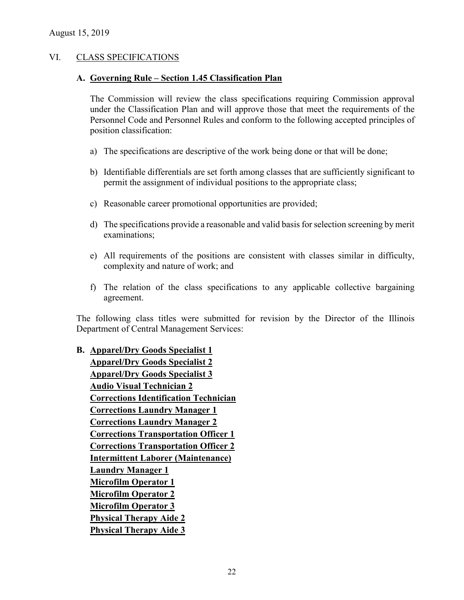#### VI. CLASS SPECIFICATIONS

#### **A. Governing Rule – Section 1.45 Classification Plan**

The Commission will review the class specifications requiring Commission approval under the Classification Plan and will approve those that meet the requirements of the Personnel Code and Personnel Rules and conform to the following accepted principles of position classification:

- a) The specifications are descriptive of the work being done or that will be done;
- b) Identifiable differentials are set forth among classes that are sufficiently significant to permit the assignment of individual positions to the appropriate class;
- c) Reasonable career promotional opportunities are provided;
- d) The specifications provide a reasonable and valid basis for selection screening by merit examinations;
- e) All requirements of the positions are consistent with classes similar in difficulty, complexity and nature of work; and
- f) The relation of the class specifications to any applicable collective bargaining agreement.

The following class titles were submitted for revision by the Director of the Illinois Department of Central Management Services:

**B. Apparel/Dry Goods Specialist 1 Apparel/Dry Goods Specialist 2 Apparel/Dry Goods Specialist 3 Audio Visual Technician 2 Corrections Identification Technician Corrections Laundry Manager 1 Corrections Laundry Manager 2 Corrections Transportation Officer 1 Corrections Transportation Officer 2 Intermittent Laborer (Maintenance) Laundry Manager 1 Microfilm Operator 1 Microfilm Operator 2 Microfilm Operator 3 Physical Therapy Aide 2 Physical Therapy Aide 3**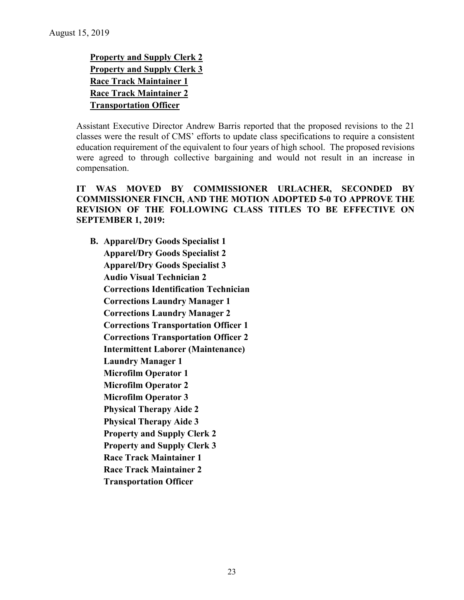**Property and Supply Clerk 2 Property and Supply Clerk 3 Race Track Maintainer 1 Race Track Maintainer 2 Transportation Officer**

Assistant Executive Director Andrew Barris reported that the proposed revisions to the 21 classes were the result of CMS' efforts to update class specifications to require a consistent education requirement of the equivalent to four years of high school. The proposed revisions were agreed to through collective bargaining and would not result in an increase in compensation.

**IT WAS MOVED BY COMMISSIONER URLACHER, SECONDED BY COMMISSIONER FINCH, AND THE MOTION ADOPTED 5-0 TO APPROVE THE REVISION OF THE FOLLOWING CLASS TITLES TO BE EFFECTIVE ON SEPTEMBER 1, 2019:**

**B. Apparel/Dry Goods Specialist 1 Apparel/Dry Goods Specialist 2 Apparel/Dry Goods Specialist 3 Audio Visual Technician 2 Corrections Identification Technician Corrections Laundry Manager 1 Corrections Laundry Manager 2 Corrections Transportation Officer 1 Corrections Transportation Officer 2 Intermittent Laborer (Maintenance) Laundry Manager 1 Microfilm Operator 1 Microfilm Operator 2 Microfilm Operator 3 Physical Therapy Aide 2 Physical Therapy Aide 3 Property and Supply Clerk 2 Property and Supply Clerk 3 Race Track Maintainer 1 Race Track Maintainer 2 Transportation Officer**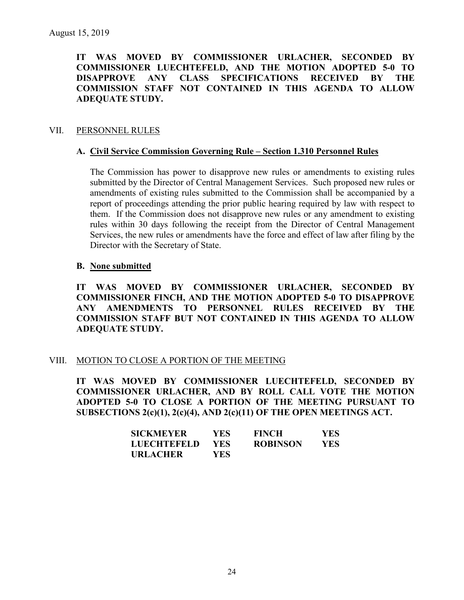**IT WAS MOVED BY COMMISSIONER URLACHER, SECONDED BY COMMISSIONER LUECHTEFELD, AND THE MOTION ADOPTED 5-0 TO DISAPPROVE ANY CLASS SPECIFICATIONS RECEIVED BY THE COMMISSION STAFF NOT CONTAINED IN THIS AGENDA TO ALLOW ADEQUATE STUDY.** 

#### VII. PERSONNEL RULES

#### **A. Civil Service Commission Governing Rule – Section 1.310 Personnel Rules**

The Commission has power to disapprove new rules or amendments to existing rules submitted by the Director of Central Management Services. Such proposed new rules or amendments of existing rules submitted to the Commission shall be accompanied by a report of proceedings attending the prior public hearing required by law with respect to them. If the Commission does not disapprove new rules or any amendment to existing rules within 30 days following the receipt from the Director of Central Management Services, the new rules or amendments have the force and effect of law after filing by the Director with the Secretary of State.

#### **B. None submitted**

**IT WAS MOVED BY COMMISSIONER URLACHER, SECONDED BY COMMISSIONER FINCH, AND THE MOTION ADOPTED 5-0 TO DISAPPROVE ANY AMENDMENTS TO PERSONNEL RULES RECEIVED BY THE COMMISSION STAFF BUT NOT CONTAINED IN THIS AGENDA TO ALLOW ADEQUATE STUDY.** 

#### VIII. MOTION TO CLOSE A PORTION OF THE MEETING

**IT WAS MOVED BY COMMISSIONER LUECHTEFELD, SECONDED BY COMMISSIONER URLACHER, AND BY ROLL CALL VOTE THE MOTION ADOPTED 5-0 TO CLOSE A PORTION OF THE MEETING PURSUANT TO SUBSECTIONS 2(c)(1), 2(c)(4), AND 2(c)(11) OF THE OPEN MEETINGS ACT.**

| <b>SICKMEYER</b>   | YES.       | FINCH           | YES. |
|--------------------|------------|-----------------|------|
| <b>LUECHTEFELD</b> | <b>YES</b> | <b>ROBINSON</b> | YES. |
| <b>URLACHER</b>    | YES        |                 |      |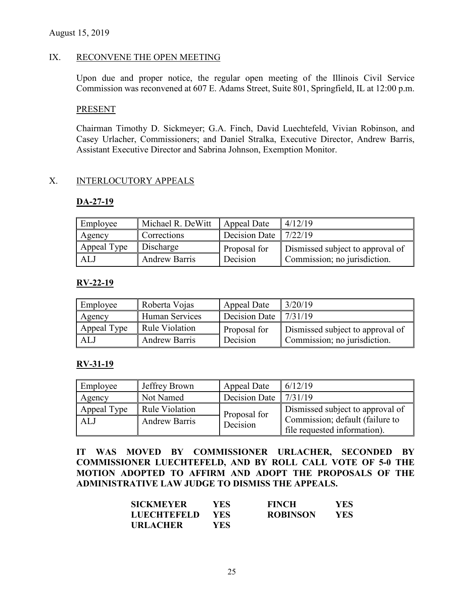#### IX. RECONVENE THE OPEN MEETING

Upon due and proper notice, the regular open meeting of the Illinois Civil Service Commission was reconvened at 607 E. Adams Street, Suite 801, Springfield, IL at 12:00 p.m.

#### PRESENT

Chairman Timothy D. Sickmeyer; G.A. Finch, David Luechtefeld, Vivian Robinson, and Casey Urlacher, Commissioners; and Daniel Stralka, Executive Director, Andrew Barris, Assistant Executive Director and Sabrina Johnson, Exemption Monitor.

### X. INTERLOCUTORY APPEALS

#### **DA-27-19**

| Employee    | Michael R. DeWitt    | Appeal Date                     | 4/12/19                          |
|-------------|----------------------|---------------------------------|----------------------------------|
| Agency      | Corrections          | Decision Date $\frac{7}{22/19}$ |                                  |
| Appeal Type | Discharge            | Proposal for                    | Dismissed subject to approval of |
| ALJ         | <b>Andrew Barris</b> | Decision                        | Commission; no jurisdiction.     |

#### **RV-22-19**

| Employee    | Roberta Vojas         | Appeal Date   | 3/20/19                          |
|-------------|-----------------------|---------------|----------------------------------|
| Agency      | <b>Human Services</b> | Decision Date | 7/31/19                          |
| Appeal Type | <b>Rule Violation</b> | Proposal for  | Dismissed subject to approval of |
| ALJ         | <b>Andrew Barris</b>  | Decision      | Commission; no jurisdiction.     |

#### **RV-31-19**

| Employee    | Jeffrey Brown         | Appeal Date   | 6/12/19                                                         |
|-------------|-----------------------|---------------|-----------------------------------------------------------------|
| Agency      | Not Named             | Decision Date | 17/31/19                                                        |
| Appeal Type | <b>Rule Violation</b> | Proposal for  | Dismissed subject to approval of                                |
| ALJ         | <b>Andrew Barris</b>  | Decision      | Commission; default (failure to<br>file requested information). |

**IT WAS MOVED BY COMMISSIONER URLACHER, SECONDED BY COMMISSIONER LUECHTEFELD, AND BY ROLL CALL VOTE OF 5-0 THE MOTION ADOPTED TO AFFIRM AND ADOPT THE PROPOSALS OF THE ADMINISTRATIVE LAW JUDGE TO DISMISS THE APPEALS.**

| SICKMEYER          | YES        | <b>FINCH</b>    | YES.       |
|--------------------|------------|-----------------|------------|
| <b>LUECHTEFELD</b> | <b>YES</b> | <b>ROBINSON</b> | <b>YES</b> |
| URLACHER           | YES.       |                 |            |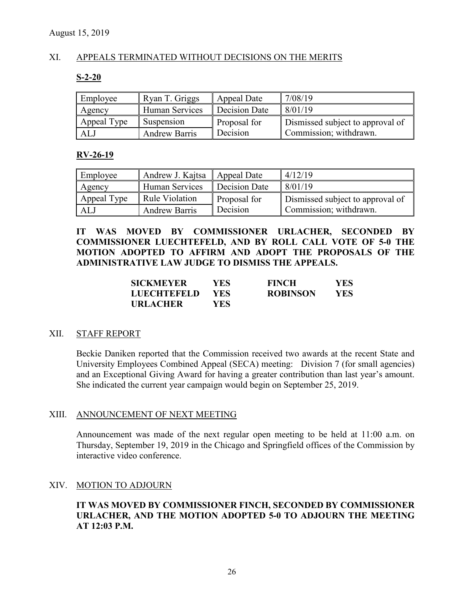### XI. APPEALS TERMINATED WITHOUT DECISIONS ON THE MERITS

#### **S-2-20**

| Employee    | Ryan T. Griggs       | Appeal Date   | 7/08/19                          |
|-------------|----------------------|---------------|----------------------------------|
| Agency      | Human Services       | Decision Date | 8/01/19                          |
| Appeal Type | Suspension           | Proposal for  | Dismissed subject to approval of |
| ALJ         | <b>Andrew Barris</b> | Decision      | Commission; withdrawn.           |

#### **RV-26-19**

| Employee    | Andrew J. Kajtsa   Appeal Date |                     | 4/12/19                          |
|-------------|--------------------------------|---------------------|----------------------------------|
| Agency      | Human Services                 | Decision Date       | 8/01/19                          |
| Appeal Type | Rule Violation                 | <b>Proposal for</b> | Dismissed subject to approval of |
| ALJ         | <b>Andrew Barris</b>           | Decision            | Commission; withdrawn.           |

**IT WAS MOVED BY COMMISSIONER URLACHER, SECONDED BY COMMISSIONER LUECHTEFELD, AND BY ROLL CALL VOTE OF 5-0 THE MOTION ADOPTED TO AFFIRM AND ADOPT THE PROPOSALS OF THE ADMINISTRATIVE LAW JUDGE TO DISMISS THE APPEALS.**

| <b>SICKMEYER</b>   | YES. | <b>FINCH</b>    | <b>YES</b> |
|--------------------|------|-----------------|------------|
| <b>LUECHTEFELD</b> | YES. | <b>ROBINSON</b> | YES        |
| <b>URLACHER</b>    | YES. |                 |            |

#### XII. STAFF REPORT

Beckie Daniken reported that the Commission received two awards at the recent State and University Employees Combined Appeal (SECA) meeting: Division 7 (for small agencies) and an Exceptional Giving Award for having a greater contribution than last year's amount. She indicated the current year campaign would begin on September 25, 2019.

### XIII. ANNOUNCEMENT OF NEXT MEETING

Announcement was made of the next regular open meeting to be held at 11:00 a.m. on Thursday, September 19, 2019 in the Chicago and Springfield offices of the Commission by interactive video conference.

#### XIV. MOTION TO ADJOURN

### **IT WAS MOVED BY COMMISSIONER FINCH, SECONDED BY COMMISSIONER URLACHER, AND THE MOTION ADOPTED 5-0 TO ADJOURN THE MEETING AT 12:03 P.M.**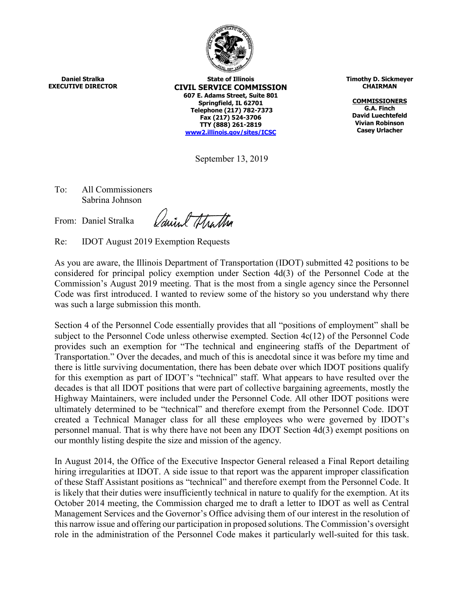

**Daniel Stralka EXECUTIVE DIRECTOR**

**State of Illinois CIVIL SERVICE COMMISSION 607 E. Adams Street, Suite 801 Springfield, IL 62701 Telephone (217) 782-7373 Fax (217) 524-3706 TTY (888) 261-2819 [www2.illinois.gov/sites/ICSC](https://www2.illinois.gov/sites/ICSC)**

September 13, 2019

To: All Commissioners Sabrina Johnson

From: Daniel Stralka

Carriel Hartha

Re: IDOT August 2019 Exemption Requests

As you are aware, the Illinois Department of Transportation (IDOT) submitted 42 positions to be considered for principal policy exemption under Section 4d(3) of the Personnel Code at the Commission's August 2019 meeting. That is the most from a single agency since the Personnel Code was first introduced. I wanted to review some of the history so you understand why there was such a large submission this month.

Section 4 of the Personnel Code essentially provides that all "positions of employment" shall be subject to the Personnel Code unless otherwise exempted. Section 4c(12) of the Personnel Code provides such an exemption for "The technical and engineering staffs of the Department of Transportation." Over the decades, and much of this is anecdotal since it was before my time and there is little surviving documentation, there has been debate over which IDOT positions qualify for this exemption as part of IDOT's "technical" staff. What appears to have resulted over the decades is that all IDOT positions that were part of collective bargaining agreements, mostly the Highway Maintainers, were included under the Personnel Code. All other IDOT positions were ultimately determined to be "technical" and therefore exempt from the Personnel Code. IDOT created a Technical Manager class for all these employees who were governed by IDOT's personnel manual. That is why there have not been any IDOT Section 4d(3) exempt positions on our monthly listing despite the size and mission of the agency.

In August 2014, the Office of the Executive Inspector General released a Final Report detailing hiring irregularities at IDOT. A side issue to that report was the apparent improper classification of these Staff Assistant positions as "technical" and therefore exempt from the Personnel Code. It is likely that their duties were insufficiently technical in nature to qualify for the exemption. At its October 2014 meeting, the Commission charged me to draft a letter to IDOT as well as Central Management Services and the Governor's Office advising them of our interest in the resolution of this narrow issue and offering our participation in proposed solutions. The Commission's oversight role in the administration of the Personnel Code makes it particularly well-suited for this task.

**Timothy D. Sickmeyer CHAIRMAN**

**COMMISSIONERS G.A. Finch David Luechtefeld Vivian Robinson Casey Urlacher**